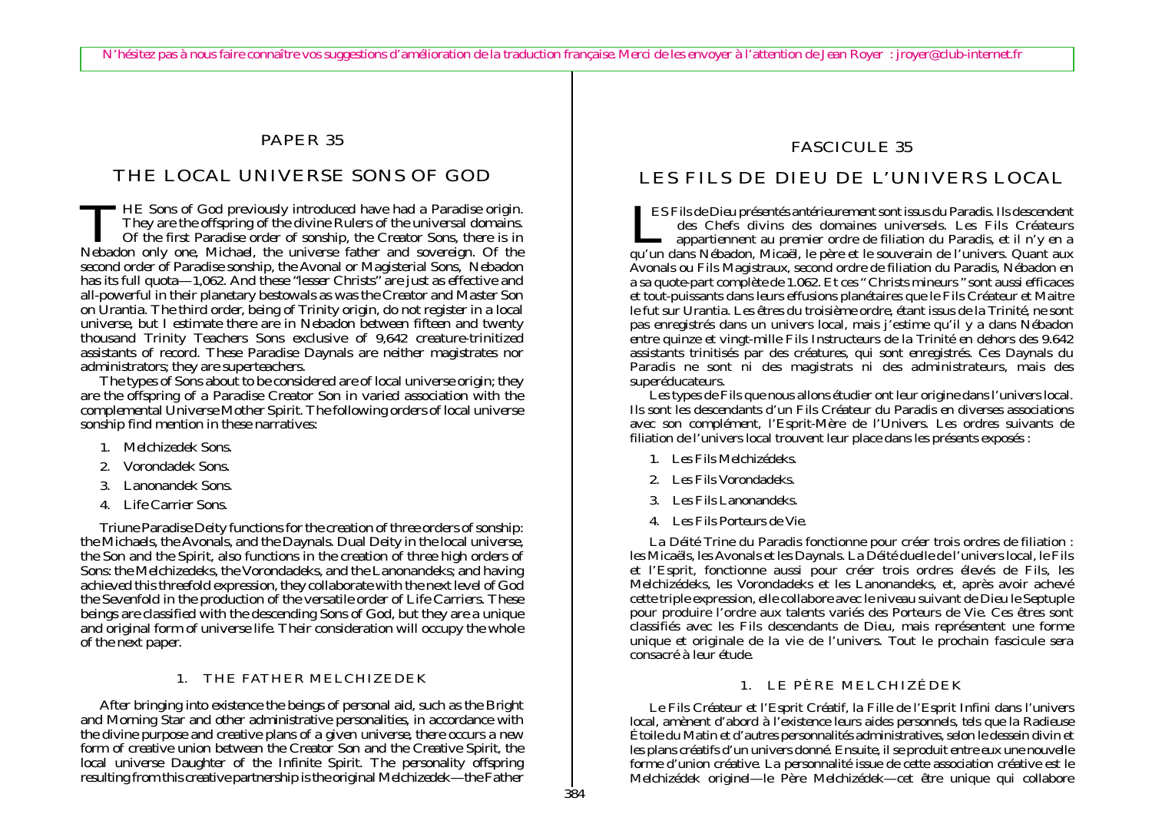## PAPER 35

# THE LOCAL UNIVERSE SONS OF GOD

THE Sons of God previously introduced have had a Paradise origin. They are the offspring of the divine Rulers of the universal domains. Of the first Paradise order of sonship, the Creator Sons, there is in Nebadon only one, Michael, the universe father and sovereign. Of the second order of Paradise sonship, the Avonal or Magisterial Sons, Nebadon has its full quota—1,062. And these "lesser Christs" are just as effective and all-powerful in their planetary bestowals as was the Creator and Master Son on Urantia. The third order, being of Trinity origin, do not register in a local universe, but I estimate there are in Nebadon between fifteen and twenty thousand Trinity Teachers Sons exclusive of 9,642 creature-trinitized assistants of record. These Paradise Daynals are neither magistrates nor administrators; they are superteachers.

The types of Sons about to be considered are of local universe origin; they are the offspring of a Paradise Creator Son in varied association with the complemental Universe Mother Spirit. The following orders of local universe sonship find mention in these narratives:

- 1. Melchizedek Sons.
- 2. Vorondadek Sons.
- 3. Lanonandek Sons.
- 4. Life Carrier Sons.

Triune Paradise Deity functions for the creation of three orders of sonship: the Michaels, the Avonals, and the Daynals. Dual Deity in the local universe, the Son and the Spirit, also functions in the creation of three high orders of Sons: the Melchizedeks, the Vorondadeks, and the Lanonandeks; and having achieved this threefold expression, they collaborate with the next level of God the Sevenfold in the production of the versatile order of Life Carriers. These beings are classified with the descending Sons of God, but they are a unique and original form of universe life. Their consideration will occupy the whole of the next paper.

## 1. THE FATHER MELCHIZEDEK

After bringing into existence the beings of personal aid, such as the Bright and Morning Star and other administrative personalities, in accordance with the divine purpose and creative plans of a given universe, there occurs a new form of creative union between the Creator Son and the Creative Spirit, the local universe Daughter of the Infinite Spirit. The personality offspring resulting from this creative partnership is the original Melchizedek—the Father

# FASCICULE 35

# LES FILS DE DIEU DE L'UNIVERS LOCAL

ES Fils de Dieu présentés antérieurement sont issus du Paradis. Ils descendent<br>des Chefs divins des domaines universels. Les Fils Créateurs<br>annartiennent au premier ordre de filiation du Paradis et il n'y en a des Chefs divins des domaines universels. Les Fils Créateurs appartiennent au premier ordre de filiation du Paradis, et il n'y en a qu'un dans Nébadon, Micaël, le père et le souverain de l'univers. Quant aux Avonals ou Fils Magistraux, second ordre de filiation du Paradis, Nébadon en a sa quote-part complète de 1.062. Et ces " Christs mineurs " sont aussi efficaces et tout-puissants dans leurs effusions planétaires que le Fils Créateur et Maitre le fut sur Urantia. Les êtres du troisième ordre, étant issus de la Trinité, ne sont pas enregistrés dans un univers local, mais j'estime qu'il y a dans Nébadon entre quinze et vingt-mille Fils Instructeurs de la Trinité en dehors des 9.642 assistants trinitisés par des créatures, qui sont enregistrés. Ces Daynals du Paradis ne sont ni des magistrats ni des administrateurs, mais des superéducateurs.

Les types de Fils que nous allons étudier ont leur origine dans l'univers local. Ils sont les descendants d'un Fils Créateur du Paradis en diverses associations avec son complément, l'Esprit-Mère de l'Univers. Les ordres suivants de filiation de l'univers local trouvent leur place dans les présents exposés :

- 1. Les Fils Melchizédeks.
- 2. Les Fils Vorondadeks.
- 3. Les Fils Lanonandeks.
- 4. Les Fils Porteurs de Vie.

La Déité Trine du Paradis fonctionne pour créer trois ordres de filiation : les Micaëls, les Avonals et les Daynals. La Déité duelle de l'univers local, le Fils et l'Esprit, fonctionne aussi pour créer trois ordres élevés de Fils, les Melchizédeks, les Vorondadeks et les Lanonandeks, et, après avoir achevé cette triple expression, elle collabore avec le niveau suivant de Dieu le Septuple pour produire l'ordre aux talents variés des Porteurs de Vie. Ces êtres sont classifiés avec les Fils descendants de Dieu, mais représentent une forme unique et originale de la vie de l'univers. Tout le prochain fascicule sera consacré à leur étude.

## 1. LE PÈRE MELCHIZÉDEK

Le Fils Créateur et l'Esprit Créatif, la Fille de l'Esprit Infini dans l'univers local, amènent d'abord à l'existence leurs aides personnels, tels que la Radieuse Étoile du Matin et d'autres personnalités administratives, selon le dessein divin et les plans créatifs d'un univers donné. Ensuite, il se produit entre eux une nouvelle forme d'union créative. La personnalité issue de cette association créative est le Melchizédek originel—le Père Melchizédek—cet être unique qui collabore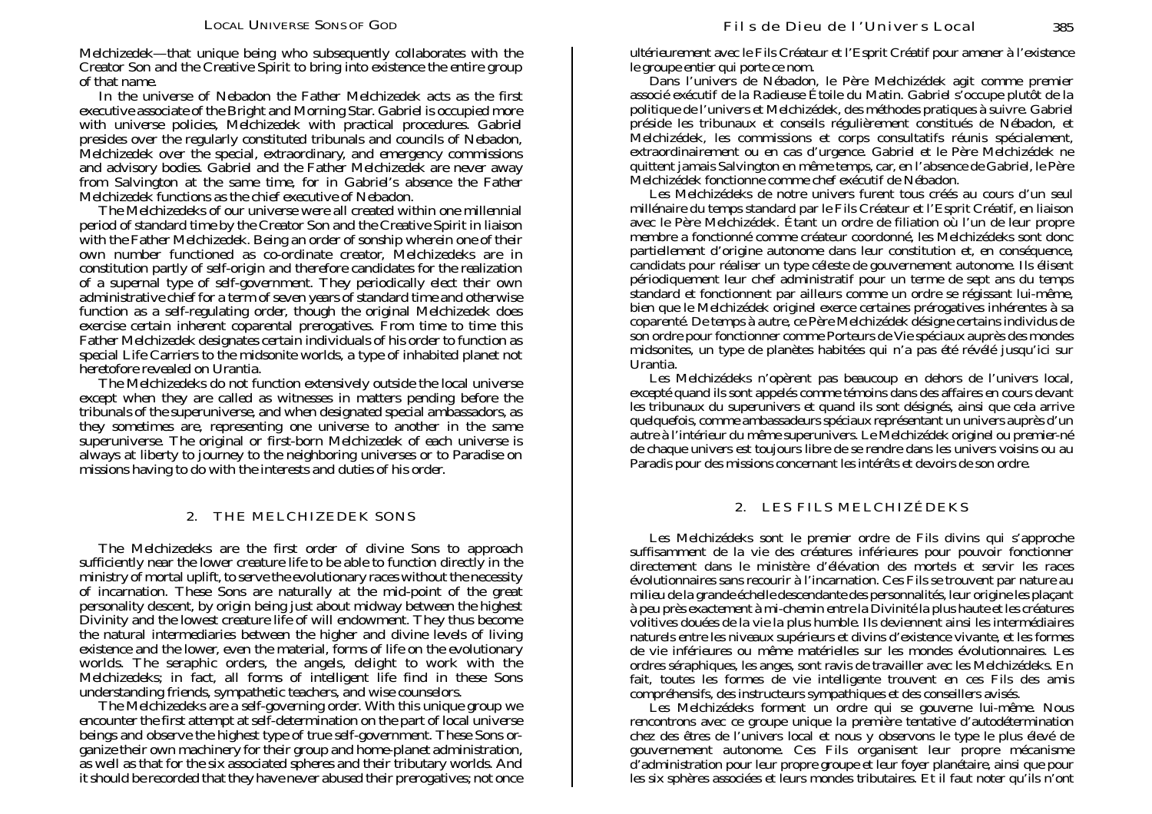Melchizedek—that unique being who subsequently collaborates with the Creator Son and the Creative Spirit to bring into existence the entire group of that name.

In the universe of Nebadon the Father Melchizedek acts as the first executive associate of the Bright and Morning Star. Gabriel is occupied more with universe policies, Melchizedek with practical procedures. Gabriel presides over the regularly constituted tribunals and councils of Nebadon, Melchizedek over the special, extraordinary, and emergency commissions and advisory bodies. Gabriel and the Father Melchizedek are never away from Salvington at the same time, for in Gabriel's absence the Father Melchizedek functions as the chief executive of Nebadon.

The Melchizedeks of our universe were all created within one millennial period of standard time by the Creator Son and the Creative Spirit in liaison with the Father Melchizedek. Being an order of sonship wherein one of their own number functioned as co-ordinate creator, Melchizedeks are in constitution partly of self-origin and therefore candidates for the realization of a supernal type of self-government. They periodically elect their own administrative chief for a term of seven years of standard time and otherwise function as a self-regulating order, though the original Melchizedek does exercise certain inherent coparental prerogatives. From time to time this Father Melchizedek designates certain individuals of his order to function as special Life Carriers to the midsonite worlds, a type of inhabited planet not heretofore revealed on Urantia.

The Melchizedeks do not function extensively outside the local universe except when they are called as witnesses in matters pending before the tribunals of the superuniverse, and when designated special ambassadors, as they sometimes are, representing one universe to another in the same superuniverse. The original or first-born Melchizedek of each universe is always at liberty to journey to the neighboring universes or to Paradise on missions having to do with the interests and duties of his order.

#### 2. THE MELCHIZEDEK SONS

The Melchizedeks are the first order of divine Sons to approach sufficiently near the lower creature life to be able to function directly in the ministry of mortal uplift, to serve the evolutionary races without the necessity of incarnation. These Sons are naturally at the mid-point of the great personality descent, by origin being just about midway between the highest Divinity and the lowest creature life of will endowment. They thus become the natural intermediaries between the higher and divine levels of living existence and the lower, even the material, forms of life on the evolutionary worlds. The seraphic orders, the angels, delight to work with the Melchizedeks; in fact, all forms of intelligent life find in these Sons understanding friends, sympathetic teachers, and wise counselors.

The Melchizedeks are a self-governing order. With this unique group we encounter the first attempt at self-determination on the part of local universe beings and observe the highest type of true self-government. These Sons organize their own machinery for their group and home-planet administration, as well as that for the six associated spheres and their tributary worlds. And it should be recorded that they have never abused their prerogatives; not once ultérieurement avec le Fils Créateur et l'Esprit Créatif pour amener à l'existence

le groupe entier qui porte ce nom.<br>Dans l'univers de Nébadon, le Père Melchizédek agit comme premier associé exécutif de la Radieuse Étoile du Matin. Gabriel s'occupe plutôt de la politique de l'univers et Melchizédek, des méthodes pratiques à suivre. Gabriel préside les tribunaux et conseils régulièrement constitués de Nébadon, et Melchizédek, les commissions et corps consultatifs réunis spécialement, extraordinairement ou en cas d'urgence. Gabriel et le Père Melchizédek ne quittent jamais Salvington en même temps, car, en l'absence de Gabriel, le Père Melchizédek fonctionne comme chef exécutif de Nébadon.

Les Melchizédeks de notre univers furent tous créés au cours d'un seul millénaire du temps standard par le Fils Créateur et l'Esprit Créatif, en liaison avec le Père Melchizédek. Étant un ordre de filiation où l'un de leur propre membre a fonctionné comme créateur coordonné, les Melchizédeks sont donc partiellement d'origine autonome dans leur constitution et, en conséquence, candidats pour réaliser un type céleste de gouvernement autonome. Ils élisent périodiquement leur chef administratif pour un terme de sept ans du temps standard et fonctionnent par ailleurs comme un ordre se régissant lui-même, bien que le Melchizédek originel exerce certaines prérogatives inhérentes à sa coparenté. De temps à autre, ce Père Melchizédek désigne certains individus de son ordre pour fonctionner comme Porteurs de Vie spéciaux auprès des mondes midsonites, un type de planètes habitées qui n'a pas été révélé jusqu'ici sur Urantia.

Les Melchizédeks n'opèrent pas beaucoup en dehors de l'univers local, excepté quand ils sont appelés comme témoins dans des affaires en cours devant les tribunaux du superunivers et quand ils sont désignés, ainsi que cela arrive quelquefois, comme ambassadeurs spéciaux représentant un univers auprès d'un autre à l'intérieur du même superunivers. Le Melchizédek originel ou premier-né de chaque univers est toujours libre de se rendre dans les univers voisins ou au Paradis pour des missions concernant les intérêts et devoirs de son ordre.

## 2. LES FILS MELCHIZÉDEKS

Les Melchizédeks sont le premier ordre de Fils divins qui s'approche suffisamment de la vie des créatures inférieures pour pouvoir fonctionner directement dans le ministère d'élévation des mortels et servir les races évolutionnaires sans recourir à l'incarnation. Ces Fils se trouvent par nature au milieu de la grande échelle descendante des personnalités, leur origine les plaçant à peu près exactement à mi-chemin entre la Divinité la plus haute et les créatures volitives douées de la vie la plus humble. Ils deviennent ainsi les intermédiaires naturels entre les niveaux supérieurs et divins d'existence vivante, et les formes de vie inférieures ou même matérielles sur les mondes évolutionnaires. Les ordres séraphiques, les anges, sont ravis de travailler avec les Melchizédeks. En fait, toutes les formes de vie intelligente trouvent en ces Fils des amis compréhensifs, des instructeurs sympathiques et des conseillers avisés.

Les Melchizédeks forment un ordre qui se gouverne lui-même. Nous rencontrons avec ce groupe unique la première tentative d'autodétermination chez des êtres de l'univers local et nous y observons le type le plus élevé de gouvernement autonome. Ces Fils organisent leur propre mécanisme d'administration pour leur propre groupe et leur foyer planétaire, ainsi que pour les six sphères associées et leurs mondes tributaires. Et il faut noter qu'ils n'ont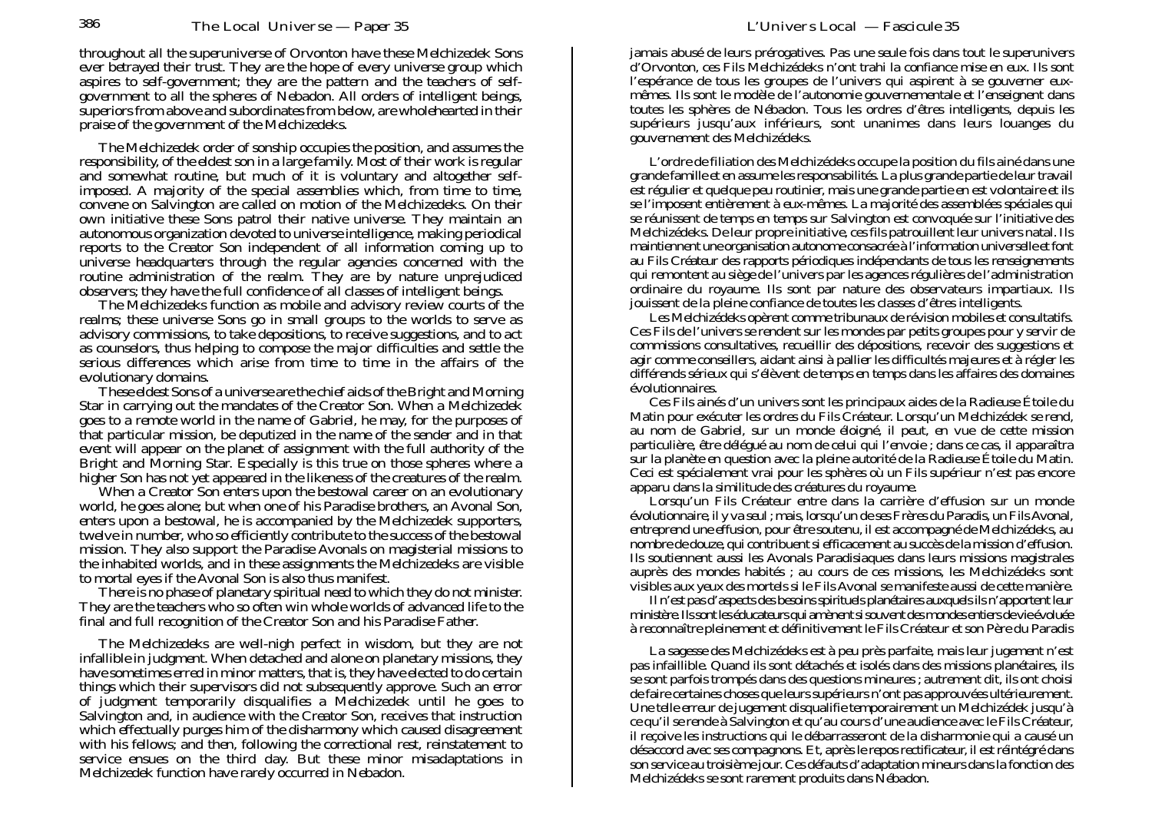throughout all the superuniverse of Orvonton have these Melchizedek Sons ever betrayed their trust. They are the hope of every universe group which aspires to self-government; they are the pattern and the teachers of selfgovernment to all the spheres of Nebadon. All orders of intelligent beings, superiors from above and subordinates from below, are wholehearted in their praise of the government of the Melchizedeks.

The Melchizedek order of sonship occupies the position, and assumes the responsibility, of the eldest son in a large family. Most of their work is regular and somewhat routine, but much of it is voluntary and altogether selfimposed. A majority of the special assemblies which, from time to time, convene on Salvington are called on motion of the Melchizedeks. On their own initiative these Sons patrol their native universe. They maintain an autonomous organization devoted to universe intelligence, making periodical reports to the Creator Son independent of all information coming up to universe headquarters through the regular agencies concerned with the routine administration of the realm. They are by nature unprejudiced observers; they have the full confidence of all classes of intelligent beings.

The Melchizedeks function as mobile and advisory review courts of the realms; these universe Sons go in small groups to the worlds to serve as advisory commissions, to take depositions, to receive suggestions, and to act as counselors, thus helping to compose the major difficulties and settle the serious differences which arise from time to time in the affairs of the evolutionary domains.

These eldest Sons of a universe are the chief aids of the Bright and Morning Star in carrying out the mandates of the Creator Son. When a Melchizedek goes to a remote world in the name of Gabriel, he may, for the purposes of that particular mission, be deputized in the name of the sender and in that event will appear on the planet of assignment with the full authority of the Bright and Morning Star. Especially is this true on those spheres where a higher Son has not yet appeared in the likeness of the creatures of the realm.

When a Creator Son enters upon the bestowal career on an evolutionary world, he goes alone; but when one of his Paradise brothers, an Avonal Son, enters upon a bestowal, he is accompanied by the Melchizedek supporters, twelve in number, who so efficiently contribute to the success of the bestowal mission. They also support the Paradise Avonals on magisterial missions to the inhabited worlds, and in these assignments the Melchizedeks are visible to mortal eyes if the Avonal Son is also thus manifest.

There is no phase of planetary spiritual need to which they do not minister. They are the teachers who so often win whole worlds of advanced life to the final and full recognition of the Creator Son and his Paradise Father.

The Melchizedeks are well-nigh perfect in wisdom, but they are not infallible in judgment. When detached and alone on planetary missions, they have sometimes erred in minor matters, that is, they have elected to do certain things which their supervisors did not subsequently approve. Such an error of judgment temporarily disqualifies a Melchizedek until he goes to Salvington and, in audience with the Creator Son, receives that instruction which effectually purges him of the disharmony which caused disagreement with his fellows; and then, following the correctional rest, reinstatement to service ensues on the third day. But these minor misadaptations in Melchizedek function have rarely occurred in Nebadon.

jamais abusé de leurs prérogatives. Pas une seule fois dans tout le superunivers d'Orvonton, ces Fils Melchizédeks n'ont trahi la confiance mise en eux. Ils sont l'espérance de tous les groupes de l'univers qui aspirent à se gouverner euxmêmes. Ils sont le modèle de l'autonomie gouvernementale et l'enseignent dans toutes les sphères de Nébadon. Tous les ordres d'êtres intelligents, depuis les supérieurs jusqu'aux inférieurs, sont unanimes dans leurs louanges du gouvernement des Melchizédeks.

L'ordre de filiation des Melchizédeks occupe la position du fils ainé dans une grande famille et en assume les responsabilités. La plus grande partie de leur travail est régulier et quelque peu routinier, mais une grande partie en est volontaire et ils se l'imposent entièrement à eux-mêmes. La majorité des assemblées spéciales qui se réunissent de temps en temps sur Salvington est convoquée sur l'initiative des Melchizédeks. De leur propre initiative, ces fils patrouillent leur univers natal. Ils maintiennent une organisation autonome consacrée à l'information universelle et font au Fils Créateur des rapports périodiques indépendants de tous les renseignements qui remontent au siège de l'univers par les agences régulières de l'administration ordinaire du royaume. Ils sont par nature des observateurs impartiaux. Ils jouissent de la pleine confiance de toutes les classes d'êtres intelligents.

Les Melchizédeks opèrent comme tribunaux de révision mobiles et consultatifs. Ces Fils de l'univers se rendent sur les mondes par petits groupes pour y servir de commissions consultatives, recueillir des dépositions, recevoir des suggestions et agir comme conseillers, aidant ainsi à pallier les difficultés majeures et à régler les différends sérieux qui s'élèvent de temps en temps dans les affaires des domaines évolutionnaires.

Ces Fils ainés d'un univers sont les principaux aides de la Radieuse Étoile du Matin pour exécuter les ordres du Fils Créateur. Lorsqu'un Melchizédek se rend, au nom de Gabriel, sur un monde éloigné, il peut, en vue de cette mission particulière, être délégué au nom de celui qui l'envoie ; dans ce cas, il apparaîtra sur la planète en question avec la pleine autorité de la Radieuse Étoile du Matin. Ceci est spécialement vrai pour les sphères où un Fils supérieur n'est pas encore apparu dans la similitude des créatures du royaume.

Lorsqu'un Fils Créateur entre dans la carrière d'effusion sur un monde évolutionnaire, il y va seul ; mais, lorsqu'un de ses Frères du Paradis, un Fils Avonal, entreprend une effusion, pour être soutenu, il est accompagné de Melchizédeks, au nombre de douze, qui contribuent si efficacement au succès de la mission d'effusion. Ils soutiennent aussi les Avonals Paradisiaques dans leurs missions magistrales auprès des mondes habités ; au cours de ces missions, les Melchizédeks sont visibles aux yeux des mortels si le Fils Avonal se manifeste aussi de cette manière.

Il n'est pas d'aspects des besoins spirituels planétaires auxquels ils n'apportent leur ministère. Ils sont les éducateurs qui amènent si souvent des mondes entiers de vie évoluée à reconnaître pleinement et définitivement le Fils Créateur et son Père du Paradis

La sagesse des Melchizédeks est à peu près parfaite, mais leur jugement n'est pas infaillible. Quand ils sont détachés et isolés dans des missions planétaires, ils se sont parfois trompés dans des questions mineures ; autrement dit, ils ont choisi de faire certaines choses que leurs supérieurs n'ont pas approuvées ultérieurement. Une telle erreur de jugement disqualifie temporairement un Melchizédek jusqu'à ce qu'il se rende à Salvington et qu'au cours d'une audience avec le Fils Créateur, il reçoive les instructions qui le débarrasseront de la disharmonie qui a causé un désaccord avec ses compagnons. Et, après le repos rectificateur, il est réintégré dans son service au troisième jour. Ces défauts d'adaptation mineurs dans la fonction des Melchizédeks se sont rarement produits dans Nébadon.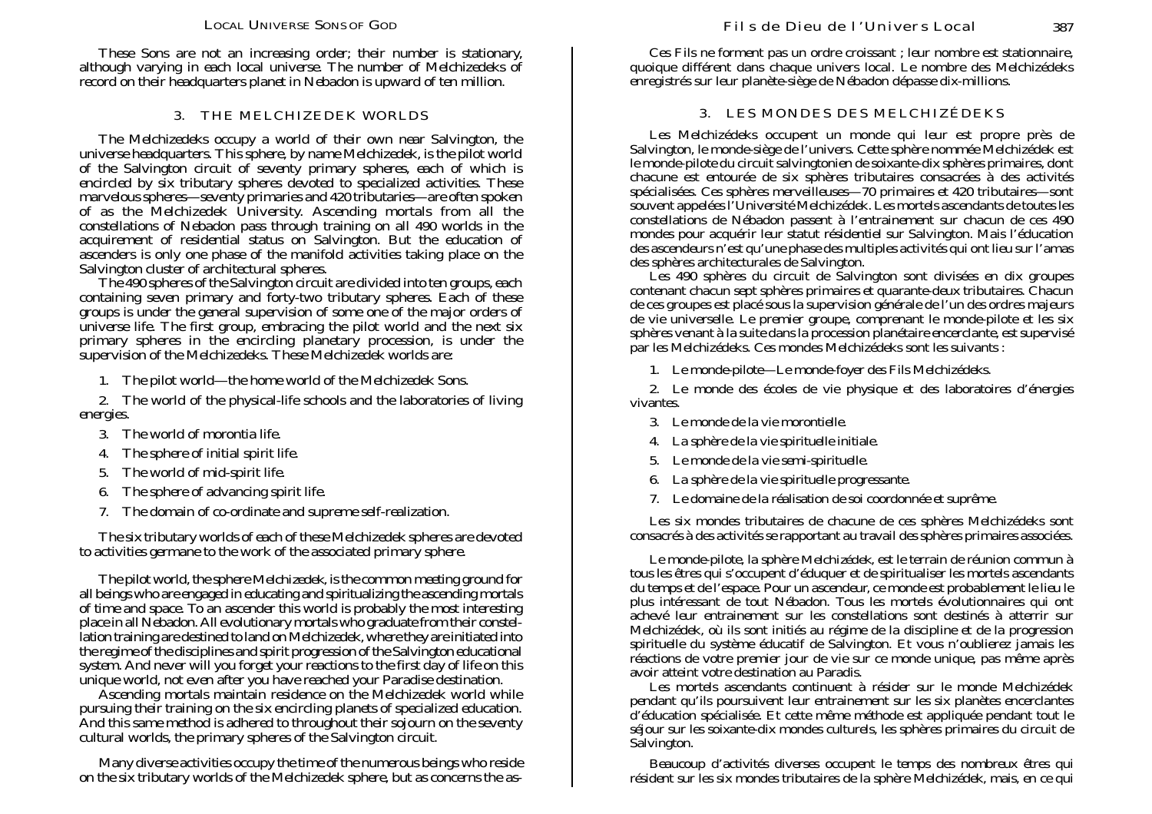These Sons are not an increasing order; their number is stationary, although varying in each local universe. The number of Melchizedeks of record on their headquarters planet in Nebadon is upward of ten million.

### 3. THE MELCHIZEDEK WORLDS

The Melchizedeks occupy a world of their own near Salvington, the universe headquarters. This sphere, by name Melchizedek, is the pilot world of the Salvington circuit of seventy primary spheres, each of which is encircled by six tributary spheres devoted to specialized activities. These marvelous spheres—seventy primaries and 420 tributaries—are often spoken of as the Melchizedek University. Ascending mortals from all the constellations of Nebadon pass through training on all 490 worlds in the acquirement of residential status on Salvington. But the education of ascenders is only one phase of the manifold activities taking place on the Salvington cluster of architectural spheres.

The 490 spheres of the Salvington circuit are divided into ten groups, each containing seven primary and forty-two tributary spheres. Each of these groups is under the general supervision of some one of the major orders of universe life. The first group, embracing the pilot world and the next six primary spheres in the encircling planetary procession, is under the supervision of the Melchizedeks. These Melchizedek worlds are:

1. The pilot world—the home world of the Melchizedek Sons.

2. The world of the physical-life schools and the laboratories of living energies.

- 3. The world of morontia life.
- 4. The sphere of initial spirit life.
- 5. The world of mid-spirit life.
- 6. The sphere of advancing spirit life.
- 7. The domain of co-ordinate and supreme self-realization.

The six tributary worlds of each of these Melchizedek spheres are devoted to activities germane to the work of the associated primary sphere.

The pilot world, the sphere *Melchizedek,* is the common meeting ground for all beings who are engaged in educating and spiritualizing the ascending mortals of time and space. To an ascender this world is probably the most interesting place in all Nebadon. All evolutionary mortals who graduate from their constellation training are destined to land on Melchizedek, where they are initiated into the regime of the disciplines and spirit progression of the Salvington educational system. And never will you forget your reactions to the first day of life on this unique world, not even after you have reached your Paradise destination.

Ascending mortals maintain residence on the Melchizedek world while pursuing their training on the six encircling planets of specialized education. And this same method is adhered to throughout their sojourn on the seventy cultural worlds, the primary spheres of the Salvington circuit.

Many diverse activities occupy the time of the numerous beings who reside on the six tributary worlds of the Melchizedek sphere, but as concerns the as-

Ces Fils ne forment pas un ordre croissant ; leur nombre est stationnaire, quoique différent dans chaque univers local. Le nombre des Melchizédeks enregistrés sur leur planète-siège de Nébadon dépasse dix-millions.

#### 3. LES MONDES DES MELCHIZÉDEKS

Les Melchizédeks occupent un monde qui leur est propre près de Salvington, le monde-siège de l'univers. Cette sphère nommée Melchizédek est le monde-pilote du circuit salvingtonien de soixante-dix sphères primaires, dont chacune est entourée de six sphères tributaires consacrées à des activités spécialisées. Ces sphères merveilleuses—70 primaires et 420 tributaires—sont souvent appelées l'Université Melchizédek. Les mortels ascendants de toutes les constellations de Nébadon passent à l'entrainement sur chacun de ces 490 mondes pour acquérir leur statut résidentiel sur Salvington. Mais l'éducation des ascendeurs n'est qu'une phase des multiples activités qui ont lieu sur l'amas des sphères architecturales de Salvington.

Les 490 sphères du circuit de Salvington sont divisées en dix groupes contenant chacun sept sphères primaires et quarante-deux tributaires. Chacun de ces groupes est placé sous la supervision générale de l'un des ordres majeurs de vie universelle. Le premier groupe, comprenant le monde-pilote et les six sphères venant à la suite dans la procession planétaire encerclante, est supervisé par les Melchizédeks. Ces mondes Melchizédeks sont les suivants :

1. Le monde-pilote—Le monde-foyer des Fils Melchizédeks.

2. Le monde des écoles de vie physique et des laboratoires d'énergies vivantes.

- 3. Le monde de la vie morontielle.
- 4. La sphère de la vie spirituelle initiale.
- 5. Le monde de la vie semi-spirituelle.
- 6. La sphère de la vie spirituelle progressante.
- 7. Le domaine de la réalisation de soi coordonnée et suprême.

Les six mondes tributaires de chacune de ces sphères Melchizédeks sont consacrés à des activités se rapportant au travail des sphères primaires associées.

Le monde-pilote, la sphère *Melchizédek*, est le terrain de réunion commun à tous les êtres qui s'occupent d'éduquer et de spiritualiser les mortels ascendants du temps et de l'espace. Pour un ascendeur, ce monde est probablement le lieu le plus intéressant de tout Nébadon. Tous les mortels évolutionnaires qui ont achevé leur entrainement sur les constellations sont destinés à atterrir sur Melchizédek, où ils sont initiés au régime de la discipline et de la progression spirituelle du système éducatif de Salvington. Et vous n'oublierez jamais les réactions de votre premier jour de vie sur ce monde unique, pas même après avoir atteint votre destination au Paradis.

Les mortels ascendants continuent à résider sur le monde Melchizédek pendant qu'ils poursuivent leur entrainement sur les six planètes encerclantes d'éducation spécialisée. Et cette même méthode est appliquée pendant tout le séjour sur les soixante-dix mondes culturels, les sphères primaires du circuit de Salvington.

Beaucoup d'activités diverses occupent le temps des nombreux êtres qui résident sur les six mondes tributaires de la sphère Melchizédek, mais, en ce qui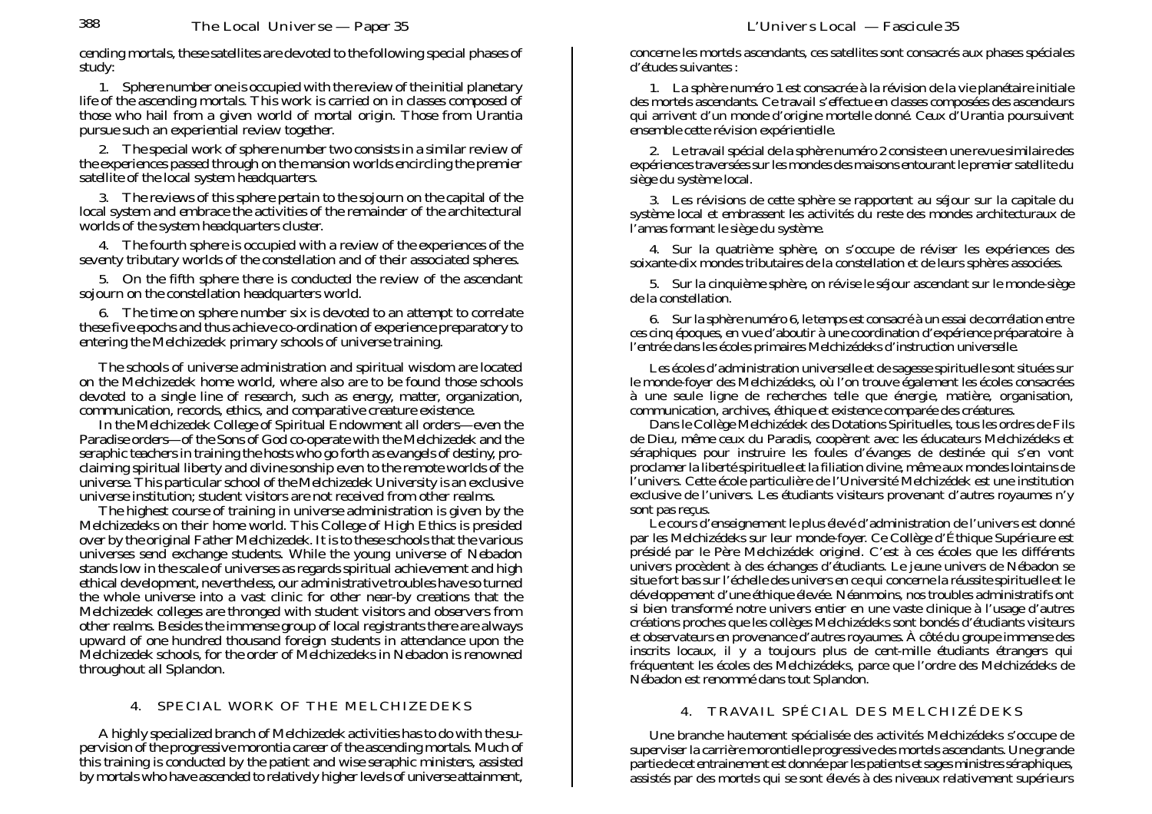cending mortals, these satellites are devoted to the following special phases of study:

1. Sphere number one is occupied with the review of the initial planetary life of the ascending mortals. This work is carried on in classes composed of those who hail from a given world of mortal origin. Those from Urantia pursue such an experiential review together.

2. The special work of sphere number two consists in a similar review of the experiences passed through on the mansion worlds encircling the premier satellite of the local system headquarters.

3. The reviews of this sphere pertain to the sojourn on the capital of the local system and embrace the activities of the remainder of the architectural worlds of the system headquarters cluster.

4. The fourth sphere is occupied with a review of the experiences of the seventy tributary worlds of the constellation and of their associated spheres.

5. On the fifth sphere there is conducted the review of the ascendant sojourn on the constellation headquarters world.

6. The time on sphere number six is devoted to an attempt to correlate these five epochs and thus achieve co-ordination of experience preparatory to entering the Melchizedek primary schools of universe training.

The schools of universe administration and spiritual wisdom are located on the Melchizedek home world, where also are to be found those schools devoted to a single line of research, such as energy, matter, organization, communication, records, ethics, and comparative creature existence.

In the Melchizedek College of Spiritual Endowment all orders—even the Paradise orders—of the Sons of God co-operate with the Melchizedek and the seraphic teachers in training the hosts who go forth as evangels of destiny, proclaiming spiritual liberty and divine sonship even to the remote worlds of the universe. This particular school of the Melchizedek University is an exclusive universe institution; student visitors are not received from other realms.

The highest course of training in universe administration is given by the Melchizedeks on their home world. This College of High Ethics is presided over by the original Father Melchizedek. It is to these schools that the various universes send exchange students. While the young universe of Nebadon stands low in the scale of universes as regards spiritual achievement and high ethical development, nevertheless, our administrative troubles have so turned the whole universe into a vast clinic for other near-by creations that the Melchizedek colleges are thronged with student visitors and observers from other realms. Besides the immense group of local registrants there are always upward of one hundred thousand foreign students in attendance upon the Melchizedek schools, for the order of Melchizedeks in Nebadon is renowned throughout all Splandon.

## 4. SPECIAL WORK OF THE MELCHIZEDEKS

A highly specialized branch of Melchizedek activities has to do with the supervision of the progressive morontia career of the ascending mortals. Much of this training is conducted by the patient and wise seraphic ministers, assisted by mortals who have ascended to relatively higher levels of universe attainment,

concerne les mortels ascendants, ces satellites sont consacrés aux phases spéciales d'études suivantes :

1. La sphère numéro 1 est consacrée à la révision de la vie planétaire initiale des mortels ascendants. Ce travail s'effectue en classes composées des ascendeurs qui arrivent d'un monde d'origine mortelle donné. Ceux d'Urantia poursuivent ensemble cette révision expérientielle.

2. Le travail spécial de la sphère numéro 2 consiste en une revue similaire des expériences traversées sur les mondes des maisons entourant le premier satellite du siège du système local.

3. Les révisions de cette sphère se rapportent au séjour sur la capitale du système local et embrassent les activités du reste des mondes architecturaux de l'amas formant le siège du système.

4. Sur la quatrième sphère, on s'occupe de réviser les expériences des soixante-dix mondes tributaires de la constellation et de leurs sphères associées.

5. Sur la cinquième sphère, on révise le séjour ascendant sur le monde-siège de la constellation.

6. Sur la sphère numéro 6, le temps est consacré à un essai de corrélation entre ces cinq époques, en vue d'aboutir à une coordination d'expérience préparatoire à l'entrée dans les écoles primaires Melchizédeks d'instruction universelle.

Les écoles d'administration universelle et de sagesse spirituelle sont situées sur le monde-foyer des Melchizédeks, où l'on trouve également les écoles consacrées à une seule ligne de recherches telle que énergie, matière, organisation, communication, archives, éthique et existence comparée des créatures.

Dans le Collège Melchizédek des Dotations Spirituelles, tous les ordres de Fils de Dieu, même ceux du Paradis, coopèrent avec les éducateurs Melchizédeks et séraphiques pour instruire les foules d'évanges de destinée qui s'en vont proclamer la liberté spirituelle et la filiation divine, même aux mondes lointains de l'univers. Cette école particulière de l'Université Melchizédek est une institution exclusive de l'univers. Les étudiants visiteurs provenant d'autres royaumes n'y sont pas reçus.

Le cours d'enseignement le plus élevé d'administration de l'univers est donné par les Melchizédeks sur leur monde-foyer. Ce Collège d'Éthique Supérieure est présidé par le Père Melchizédek originel. C'est à ces écoles que les différents univers procèdent à des échanges d'étudiants. Le jeune univers de Nébadon se situe fort bas sur l'échelle des univers en ce qui concerne la réussite spirituelle et le développement d'une éthique élevée. Néanmoins, nos troubles administratifs ont si bien transformé notre univers entier en une vaste clinique à l'usage d'autres créations proches que les collèges Melchizédeks sont bondés d'étudiants visiteurs et observateurs en provenance d'autres royaumes. À côté du groupe immense des inscrits locaux, il y a toujours plus de cent-mille étudiants étrangers qui fréquentent les écoles des Melchizédeks, parce que l'ordre des Melchizédeks de Nébadon est renommé dans tout Splandon.

## 4. TRAVAIL SPÉCIAL DES MELCHIZÉDEKS

Une branche hautement spécialisée des activités Melchizédeks s'occupe de superviser la carrière morontielle progressive des mortels ascendants. Une grande partie de cet entrainement est donnée par les patients et sages ministres séraphiques, assistés par des mortels qui se sont élevés à des niveaux relativement supérieurs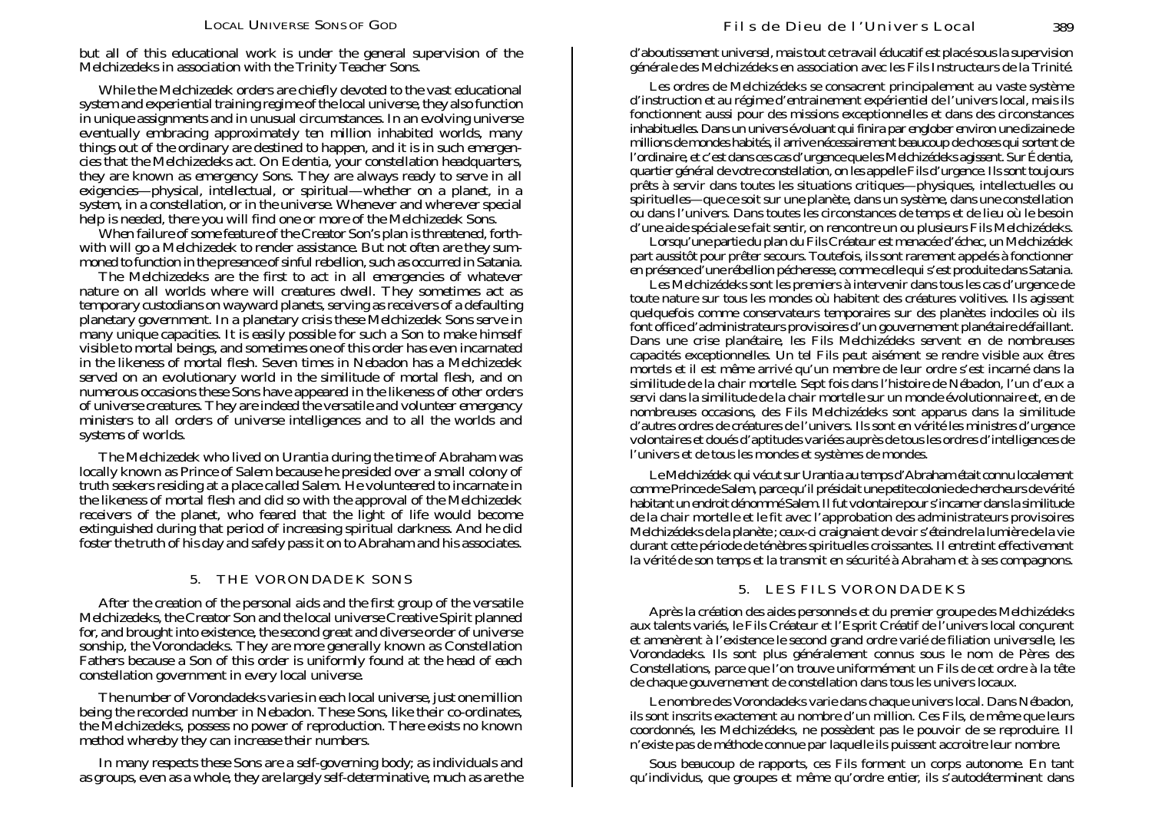but all of this educational work is under the general supervision of the Melchizedeks in association with the Trinity Teacher Sons.

While the Melchizedek orders are chiefly devoted to the vast educational system and experiential training regime of the local universe, they also function in unique assignments and in unusual circumstances. In an evolving universe eventually embracing approximately ten million inhabited worlds, many things out of the ordinary are destined to happen, and it is in such emergencies that the Melchizedeks act. On Edentia, your constellation headquarters, they are known as emergency Sons. They are always ready to serve in all exigencies—physical, intellectual, or spiritual—whether on a planet, in a system, in a constellation, or in the universe. Whenever and wherever special help is needed, there you will find one or more of the Melchizedek Sons.

When failure of some feature of the Creator Son's plan is threatened, forthwith will go a Melchizedek to render assistance. But not often are they summoned to function in the presence of sinful rebellion, such as occurred in Satania.

The Melchizedeks are the first to act in all emergencies of whatever nature on all worlds where will creatures dwell. They sometimes act as temporary custodians on wayward planets, serving as receivers of a defaulting planetary government. In a planetary crisis these Melchizedek Sons serve in many unique capacities. It is easily possible for such a Son to make himself visible to mortal beings, and sometimes one of this order has even incarnated in the likeness of mortal flesh. Seven times in Nebadon has a Melchizedek served on an evolutionary world in the similitude of mortal flesh, and on numerous occasions these Sons have appeared in the likeness of other orders of universe creatures. They are indeed the versatile and volunteer emergency ministers to all orders of universe intelligences and to all the worlds and systems of worlds.

The Melchizedek who lived on Urantia during the time of Abraham was locally known as Prince of Salem because he presided over a small colony of truth seekers residing at a place called Salem. He volunteered to incarnate in the likeness of mortal flesh and did so with the approval of the Melchizedek receivers of the planet, who feared that the light of life would become extinguished during that period of increasing spiritual darkness. And he did foster the truth of his day and safely pass it on to Abraham and his associates.

#### 5. THE VORONDADEK SONS

After the creation of the personal aids and the first group of the versatile Melchizedeks, the Creator Son and the local universe Creative Spirit planned for, and brought into existence, the second great and diverse order of universe sonship, the Vorondadeks. They are more generally known as Constellation Fathers because a Son of this order is uniformly found at the head of each constellation government in every local universe.

The number of Vorondadeks varies in each local universe, just one million being the recorded number in Nebadon. These Sons, like their co-ordinates, the Melchizedeks, possess no power of reproduction. There exists no known method whereby they can increase their numbers.

In many respects these Sons are a self-governing body; as individuals and as groups, even as a whole, they are largely self-determinative, much as are the d'aboutissement universel, mais tout ce travail éducatif est placé sous la supervision générale des Melchizédeks en association avec les Fils Instructeurs de la Trinité.

Les ordres de Melchizédeks se consacrent principalement au vaste système d'instruction et au régime d'entrainement expérientiel de l'univers local, mais ils fonctionnent aussi pour des missions exceptionnelles et dans des circonstances inhabituelles. Dans un univers évoluant qui finira par englober environ une dizaine de l'ordinaire, et c'est dans ces cas d'urgence que les Melchizédeks agissent. Sur Édentia, quartier général de votre constellation, on les appelle Fils d'urgence. Ils sont toujours prêts à servir dans toutes les situations critiques—physiques, intellectuelles ou spirituelles—que ce soit sur une planète, dans un système, dans une constellation ou dans l'univers. Dans toutes les circonstances de temps et de lieu où le besoin d'une aide spéciale se fait sentir, on rencontre un ou plusieurs Fils Melchizédeks.

Lorsqu'une partie du plan du Fils Créateur est menacée d'échec, un Melchizédek part aussitôt pour prêter secours. Toutefois, ils sont rarement appelés à fonctionner en présence d'une rébellion pécheresse, comme celle qui s'est produite dans Satania.

Les Melchizédeks sont les premiers à intervenir dans tous les cas d'urgence de toute nature sur tous les mondes où habitent des créatures volitives. Ils agissent quelquefois comme conservateurs temporaires sur des planètes indociles où ils font office d'administrateurs provisoires d'un gouvernement planétaire défaillant. Dans une crise planétaire, les Fils Melchizédeks servent en de nombreuses capacités exceptionnelles. Un tel Fils peut aisément se rendre visible aux êtres mortels et il est même arrivé qu'un membre de leur ordre s'est incarné dans la similitude de la chair mortelle. Sept fois dans l'histoire de Nébadon, l'un d'eux a servi dans la similitude de la chair mortelle sur un monde évolutionnaire et, en de nombreuses occasions, des Fils Melchizédeks sont apparus dans la similitude d'autres ordres de créatures de l'univers. Ils sont en vérité les ministres d'urgence volontaires et doués d'aptitudes variées auprès de tous les ordres d'intelligences de l'univers et de tous les mondes et systèmes de mondes.

Le Melchizédek qui vécut sur Urantia au temps d'Abraham était connu localement comme Prince de Salem, parce qu'il présidait une petite colonie de chercheurs de vérité habitant un endroit dénommé Salem. Il fut volontaire pour s'incarner dans la similitude de la chair mortelle et le fit avec l'approbation des administrateurs provisoires Melchizédeks de la planète ; ceux-ci craignaient de voir s'éteindre la lumière de la vie durant cette période de ténèbres spirituelles croissantes. Il entretint effectivement la vérité de son temps et la transmit en sécurité à Abraham et à ses compagnons.

#### 5. LES FILS VORONDADEKS

Après la création des aides personnels et du premier groupe des Melchizédeks aux talents variés, le Fils Créateur et l'Esprit Créatif de l'univers local conçurent et amenèrent à l'existence le second grand ordre varié de filiation universelle, les Vorondadeks. Ils sont plus généralement connus sous le nom de Pères des Constellations, parce que l'on trouve uniformément un Fils de cet ordre à la tête de chaque gouvernement de constellation dans tous les univers locaux.

Le nombre des Vorondadeks varie dans chaque univers local. Dans Nébadon, ils sont inscrits exactement au nombre d'un million. Ces Fils, de même que leurs coordonnés, les Melchizédeks, ne possèdent pas le pouvoir de se reproduire. Il <sup>n</sup>'existe pas de méthode connue par laquelle ils puissent accroitre leur nombre.

Sous beaucoup de rapports, ces Fils forment un corps autonome. En tant qu'individus, que groupes et même qu'ordre entier, ils s'autodéterminent dans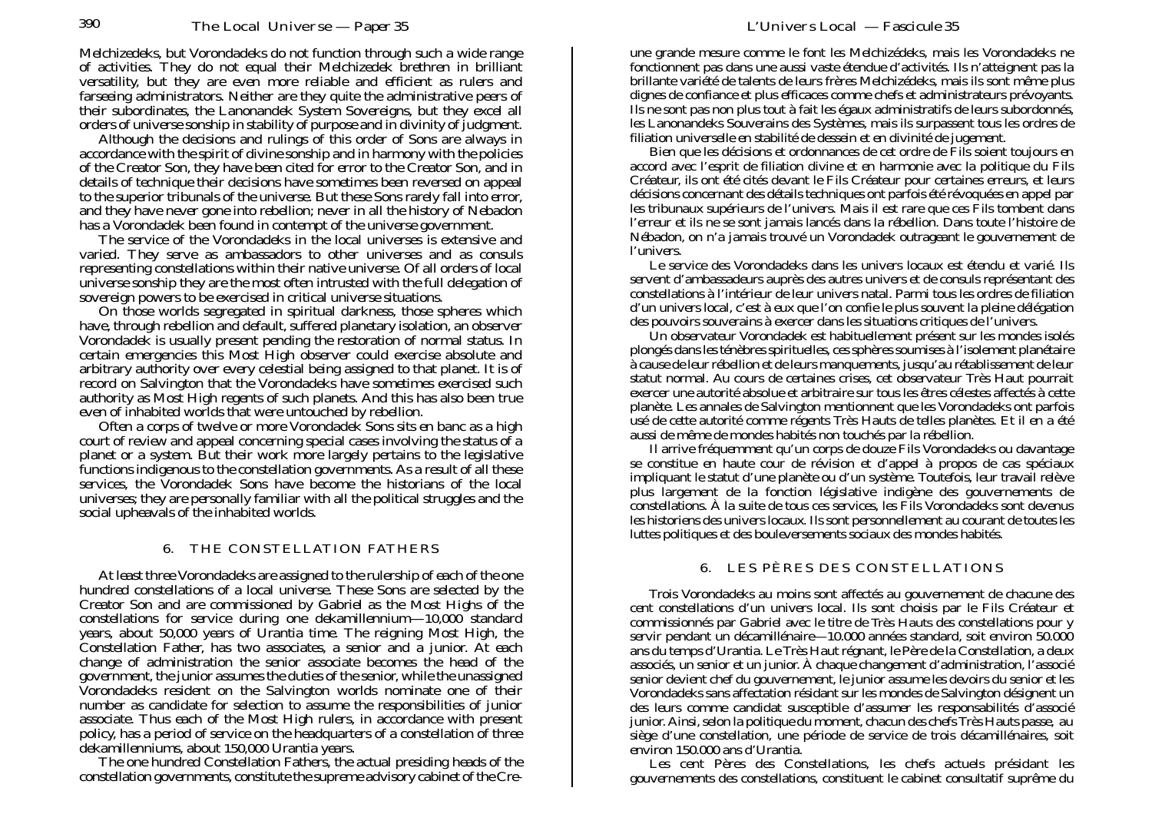Melchizedeks, but Vorondadeks do not function through such a wide range of activities. They do not equal their Melchizedek brethren in brilliant versatility, but they are even more reliable and efficient as rulers and farseeing administrators. Neither are they quite the administrative peers of their subordinates, the Lanonandek System Sovereigns, but they excel all orders of universe sonship in stability of purpose and in divinity of judgment.

Although the decisions and rulings of this order of Sons are always in accordance with the spirit of divine sonship and in harmony with the policies of the Creator Son, they have been cited for error to the Creator Son, and in details of technique their decisions have sometimes been reversed on appeal to the superior tribunals of the universe. But these Sons rarely fall into error, and they have never gone into rebellion; never in all the history of Nebadon has a Vorondadek been found in contempt of the universe government.

The service of the Vorondadeks in the local universes is extensive and varied. They serve as ambassadors to other universes and as consuls representing constellations within their native universe. Of all orders of local universe sonship they are the most often intrusted with the full delegation of sovereign powers to be exercised in critical universe situations.

On those worlds segregated in spiritual darkness, those spheres which have, through rebellion and default, suffered planetary isolation, an observer Vorondadek is usually present pending the restoration of normal status. In certain emergencies this Most High observer could exercise absolute and arbitrary authority over every celestial being assigned to that planet. It is of record on Salvington that the Vorondadeks have sometimes exercised such authority as Most High regents of such planets. And this has also been true even of inhabited worlds that were untouched by rebellion.

Often a corps of twelve or more Vorondadek Sons sits en banc as a high court of review and appeal concerning special cases involving the status of a planet or a system. But their work more largely pertains to the legislative functions indigenous to the constellation governments. As a result of all these services, the Vorondadek Sons have become the historians of the local universes; they are personally familiar with all the political struggles and the social upheavals of the inhabited worlds.

## 6. THE CONSTELLATION FATHERS

At least three Vorondadeks are assigned to the rulership of each of the one hundred constellations of a local universe. These Sons are selected by the Creator Son and are commissioned by Gabriel as the *Most Highs* of the constellations for service during one dekamillennium—10,000 standard years, about 50,000 years of Urantia time. The reigning Most High, the Constellation Father, has two associates, a senior and a junior. At each change of administration the senior associate becomes the head of the government, the junior assumes the duties of the senior, while the unassigned Vorondadeks resident on the Salvington worlds nominate one of their number as candidate for selection to assume the responsibilities of junior associate. Thus each of the Most High rulers, in accordance with present policy, has a period of service on the headquarters of a constellation of three dekamillenniums, about 150,000 Urantia years.

The one hundred Constellation Fathers, the actual presiding heads of the constellation governments, constitute the supreme advisory cabinet of the Creune grande mesure comme le font les Melchizédeks, mais les Vorondadeks ne fonctionnent pas dans une aussi vaste étendue d'activités. Ils n'atteignent pas la brillante variété de talents de leurs frères Melchizédeks, mais ils sont même plus dignes de confiance et plus efficaces comme chefs et administrateurs prévoyants. Ils ne sont pas non plus tout à fait les égaux administratifs de leurs subordonnés, les Lanonandeks Souverains des Systèmes, mais ils surpassent tous les ordres de filiation universelle en stabilité de dessein et en divinité de jugement.

Bien que les décisions et ordonnances de cet ordre de Fils soient toujours en accord avec l'esprit de filiation divine et en harmonie avec la politique du Fils Créateur, ils ont été cités devant le Fils Créateur pour certaines erreurs, et leurs décisions concernant des détails techniques ont parfois été révoquées en appel par les tribunaux supérieurs de l'univers. Mais il est rare que ces Fils tombent dans l'erreur et ils ne se sont jamais lancés dans la rébellion. Dans toute l'histoire de Nébadon, on n'a jamais trouvé un Vorondadek outrageant le gouvernement de l'univers.

Le service des Vorondadeks dans les univers locaux est étendu et varié. Ils servent d'ambassadeurs auprès des autres univers et de consuls représentant des constellations à l'intérieur de leur univers natal. Parmi tous les ordres de filiation d'un univers local, c'est à eux que l'on confie le plus souvent la pleine délégation des pouvoirs souverains à exercer dans les situations critiques de l'univers.

Un observateur Vorondadek est habituellement présent sur les mondes isolés plongés dans les ténèbres spirituelles, ces sphères soumises à l'isolement planétaire à cause de leur rébellion et de leurs manquements, jusqu'au rétablissement de leur statut normal. Au cours de certaines crises, cet observateur Très Haut pourrait exercer une autorité absolue et arbitraire sur tous les êtres célestes affectés à cette planète. Les annales de Salvington mentionnent que les Vorondadeks ont parfois usé de cette autorité comme régents Très Hauts de telles planètes. Et il en a été aussi de même de mondes habités non touchés par la rébellion.

Il arrive fréquemment qu'un corps de douze Fils Vorondadeks ou davantage se constitue en haute cour de révision et d'appel à propos de cas spéciaux impliquant le statut d'une planète ou d'un système. Toutefois, leur travail relève <sup>p</sup>lus largement de la fonction législative indigène des gouvernements de constellations. À la suite de tous ces services, les Fils Vorondadeks sont devenus les historiens des univers locaux. Ils sont personnellement au courant de toutes les luttes politiques et des bouleversements sociaux des mondes habités.

## 6. LES PÈRES DES CONSTELLATIONS

Trois Vorondadeks au moins sont affectés au gouvernement de chacune des cent constellations d'un univers local. Ils sont choisis par le Fils Créateur et commissionnés par Gabriel avec le titre de *Très Hauts* des constellations pour y servir pendant un décamillénaire—10.000 années standard, soit environ 50.000 ans du temps d'Urantia. Le Très Haut régnant, le Père de la Constellation, a deux associés, un senior et un junior. À chaque changement d'administration, l'associé senior devient chef du gouvernement, le junior assume les devoirs du senior et les Vorondadeks sans affectation résidant sur les mondes de Salvington désignent un des leurs comme candidat susceptible d'assumer les responsabilités d'associé junior. Ainsi, selon la politique du moment, chacun des chefs Très Hauts passe, au siège d'une constellation, une période de service de trois décamillénaires, soit environ 150.000 ans d'Urantia.

Les cent Pères des Constellations, les chefs actuels présidant les gouvernements des constellations, constituent le cabinet consultatif suprême du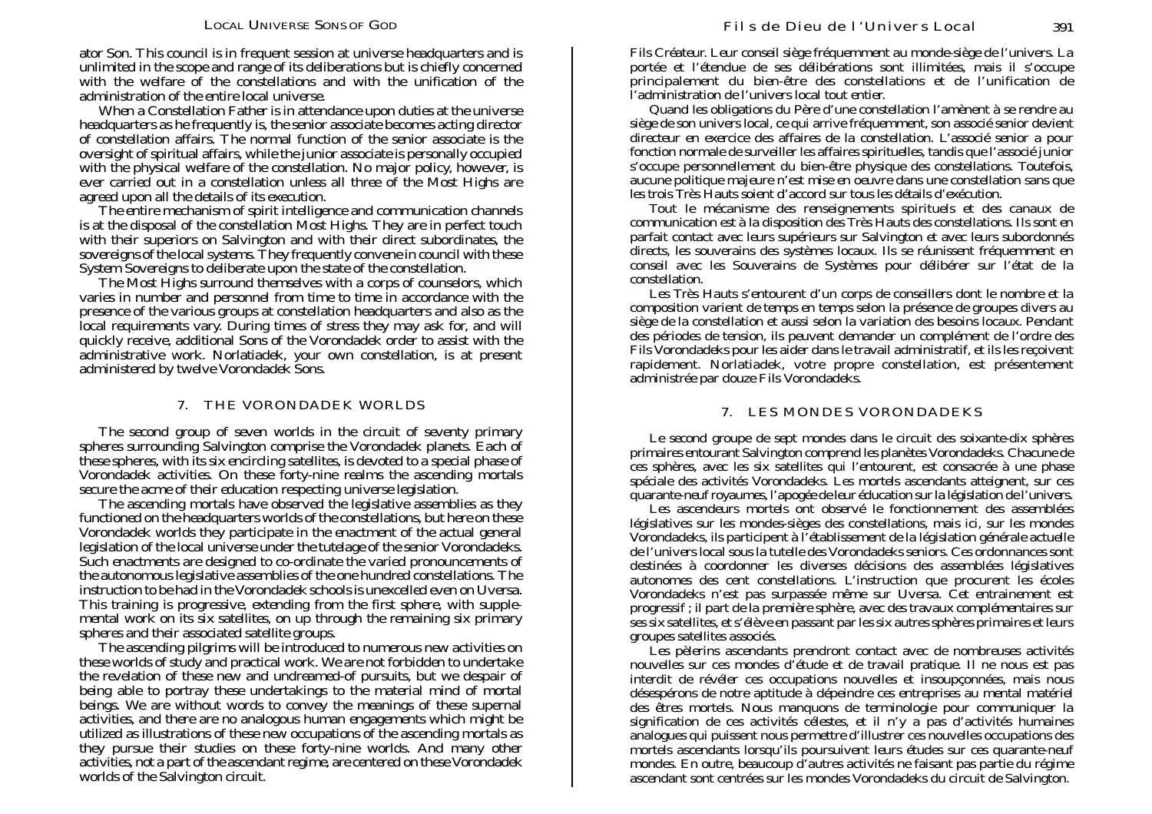ator Son. This council is in frequent session at universe headquarters and is unlimited in the scope and range of its deliberations but is chiefly concerned with the welfare of the constellations and with the unification of the administration of the entire local universe.

When a Constellation Father is in attendance upon duties at the universe headquarters as he frequently is, the senior associate becomes acting director of constellation affairs. The normal function of the senior associate is the oversight of spiritual affairs, while the junior associate is personally occupied with the physical welfare of the constellation. No major policy, however, is ever carried out in a constellation unless all three of the Most Highs are agreed upon all the details of its execution.

The entire mechanism of spirit intelligence and communication channels is at the disposal of the constellation Most Highs. They are in perfect touch with their superiors on Salvington and with their direct subordinates, the sovereigns of the local systems. They frequently convene in council with these System Sovereigns to deliberate upon the state of the constellation.

The Most Highs surround themselves with a corps of counselors, which varies in number and personnel from time to time in accordance with the presence of the various groups at constellation headquarters and also as the local requirements vary. During times of stress they may ask for, and will quickly receive, additional Sons of the Vorondadek order to assist with the administrative work. Norlatiadek, your own constellation, is at present administered by twelve Vorondadek Sons.

#### 7. THE VORONDADEK WORLDS

The second group of seven worlds in the circuit of seventy primary spheres surrounding Salvington comprise the Vorondadek planets. Each of these spheres, with its six encircling satellites, is devoted to a special phase of Vorondadek activities. On these forty-nine realms the ascending mortals secure the acme of their education respecting universe legislation.

The ascending mortals have observed the legislative assemblies as they functioned on the headquarters worlds of the constellations, but here on these Vorondadek worlds they participate in the enactment of the actual general legislation of the local universe under the tutelage of the senior Vorondadeks. Such enactments are designed to co-ordinate the varied pronouncements of the autonomous legislative assemblies of the one hundred constellations. The instruction to be had in the Vorondadek schools is unexcelled even on Uversa. This training is progressive, extending from the first sphere, with supplemental work on its six satellites, on up through the remaining six primary spheres and their associated satellite groups.

The ascending pilgrims will be introduced to numerous new activities on these worlds of study and practical work. We are not forbidden to undertake the revelation of these new and undreamed-of pursuits, but we despair of being able to portray these undertakings to the material mind of mortal beings. We are without words to convey the meanings of these supernal activities, and there are no analogous human engagements which might be utilized as illustrations of these new occupations of the ascending mortals as they pursue their studies on these forty-nine worlds. And many other activities, not a part of the ascendant regime, are centered on these Vorondadek worlds of the Salvington circuit.

Fils Créateur. Leur conseil siège fréquemment au monde-siège de l'univers. La portée et l'étendue de ses délibérations sont illimitées, mais il s'occupe principalement du bien-être des constellations et de l'unification de l'administration de l'univers local tout entier.

Quand les obligations du Père d'une constellation l'amènent à se rendre au siège de son univers local, ce qui arrive fréquemment, son associé senior devient directeur en exercice des affaires de la constellation. L'associé senior a pour fonction normale de surveiller les affaires spirituelles, tandis que l'associé junior <sup>s</sup>'occupe personnellement du bien-être physique des constellations. Toutefois, aucune politique majeure n'est mise en oeuvre dans une constellation sans que les trois Très Hauts soient d'accord sur tous les détails d'exécution.

Tout le mécanisme des renseignements spirituels et des canaux de communication est à la disposition des Très Hauts des constellations. Ils sont en parfait contact avec leurs supérieurs sur Salvington et avec leurs subordonnés directs, les souverains des systèmes locaux. Ils se réunissent fréquemment en conseil avec les Souverains de Systèmes pour délibérer sur l'état de la constellation.

Les Très Hauts s'entourent d'un corps de conseillers dont le nombre et la composition varient de temps en temps selon la présence de groupes divers au siège de la constellation et aussi selon la variation des besoins locaux. Pendant des périodes de tension, ils peuvent demander un complément de l'ordre des Fils Vorondadeks pour les aider dans le travail administratif, et ils les reçoivent rapidement. Norlatiadek, votre propre constellation, est présentement administrée par douze Fils Vorondadeks.

#### 7. LES MONDES VORONDADEKS

Le second groupe de sept mondes dans le circuit des soixante-dix sphères primaires entourant Salvington comprend les planètes Vorondadeks. Chacune de ces sphères, avec les six satellites qui l'entourent, est consacrée à une phase spéciale des activités Vorondadeks. Les mortels ascendants atteignent, sur ces quarante-neuf royaumes, l'apogée de leur éducation sur la législation de l'univers.

Les ascendeurs mortels ont observé le fonctionnement des assemblées législatives sur les mondes-sièges des constellations, mais ici, sur les mondes Vorondadeks, ils participent à l'établissement de la législation générale actuelle de l'univers local sous la tutelle des Vorondadeks seniors. Ces ordonnances sont destinées à coordonner les diverses décisions des assemblées législatives autonomes des cent constellations. L'instruction que procurent les écoles Vorondadeks n'est pas surpassée même sur Uversa. Cet entrainement est progressif ; il part de la première sphère, avec des travaux complémentaires sur ses six satellites, et s'élève en passant par les six autres sphères primaires et leurs groupes satellites associés.

Les pèlerins ascendants prendront contact avec de nombreuses activités nouvelles sur ces mondes d'étude et de travail pratique. Il ne nous est pas interdit de révéler ces occupations nouvelles et insoupçonnées, mais nous désespérons de notre aptitude à dépeindre ces entreprises au mental matériel des êtres mortels. Nous manquons de terminologie pour communiquer la signification de ces activités célestes, et il n'y a pas d'activités humaines analogues qui puissent nous permettre d'illustrer ces nouvelles occupations des mortels ascendants lorsqu'ils poursuivent leurs études sur ces quarante-neuf mondes. En outre, beaucoup d'autres activités ne faisant pas partie du régime ascendant sont centrées sur les mondes Vorondadeks du circuit de Salvington.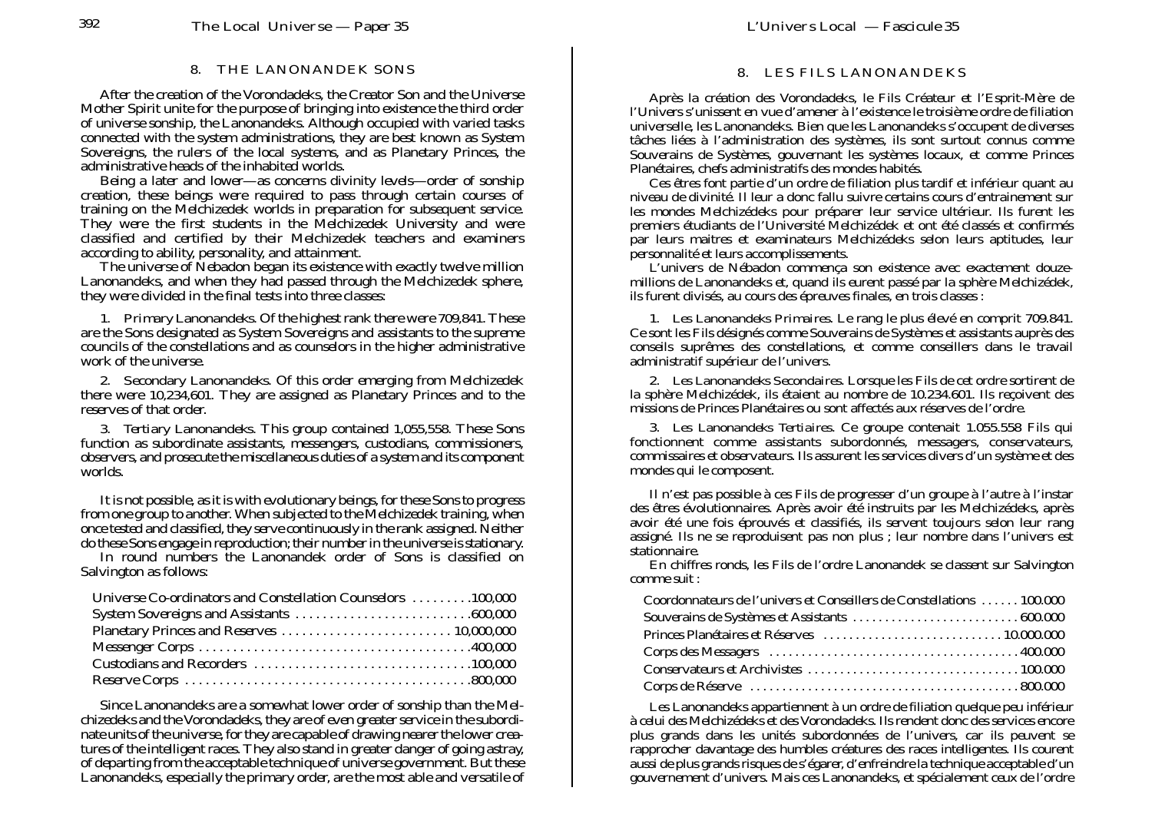#### 8. THE LANONANDEK SONS

After the creation of the Vorondadeks, the Creator Son and the Universe Mother Spirit unite for the purpose of bringing into existence the third order of universe sonship, the Lanonandeks. Although occupied with varied tasks connected with the system administrations, they are best known as System Sovereigns, the rulers of the local systems, and as Planetary Princes, the administrative heads of the inhabited worlds.

Being a later and lower—as concerns divinity levels—order of sonship creation, these beings were required to pass through certain courses of training on the Melchizedek worlds in preparation for subsequent service. They were the first students in the Melchizedek University and were classified and certified by their Melchizedek teachers and examiners according to ability, personality, and attainment.

The universe of Nebadon began its existence with exactly twelve million Lanonandeks, and when they had passed through the Melchizedek sphere, they were divided in the final tests into three classes:

1. *Primary Lanonandeks.* Of the highest rank there were 709,841. These are the Sons designated as System Sovereigns and assistants to the supreme councils of the constellations and as counselors in the higher administrative work of the universe.

2. *Secondary Lanonandeks.* Of this order emerging from Melchizedek there were 10,234,601. They are assigned as Planetary Princes and to the reserves of that order.

3. *Tertiary Lanonandeks.* This group contained 1,055,558. These Sons function as subordinate assistants, messengers, custodians, commissioners, observers, and prosecute the miscellaneous duties of a system and its component worlds.

It is not possible, as it is with evolutionary beings, for these Sons to progress from one group to another. When subjected to the Melchizedek training, when once tested and classified, they serve continuously in the rank assigned. Neither do these Sons engage in reproduction; their number in the universe is stationary.

In round numbers the Lanonandek order of Sons is classified on Salvington as follows:

| Universe Co-ordinators and Constellation Counselors 100,000 |  |
|-------------------------------------------------------------|--|
|                                                             |  |
|                                                             |  |
|                                                             |  |
|                                                             |  |
|                                                             |  |

Since Lanonandeks are a somewhat lower order of sonship than the Melchizedeks and the Vorondadeks, they are of even greater service in the subordinate units of the universe, for they are capable of drawing nearer the lower creatures of the intelligent races. They also stand in greater danger of going astray, of departing from the acceptable technique of universe government. But these Lanonandeks, especially the primary order, are the most able and versatile of

#### 8. LES FILS LANONANDEKS

Après la création des Vorondadeks, le Fils Créateur et l'Esprit-Mère de l'Univers s'unissent en vue d'amener à l'existence le troisième ordre de filiation universelle, les Lanonandeks. Bien que les Lanonandeks s'occupent de diverses tâches liées à l'administration des systèmes, ils sont surtout connus comme Souverains de Systèmes, gouvernant les systèmes locaux, et comme Princes Planétaires, chefs administratifs des mondes habités.

Ces êtres font partie d'un ordre de filiation plus tardif et inférieur quant au niveau de divinité. Il leur a donc fallu suivre certains cours d'entrainement sur les mondes Melchizédeks pour préparer leur service ultérieur. Ils furent les premiers étudiants de l'Université Melchizédek et ont été classés et confirmés par leurs maitres et examinateurs Melchizédeks selon leurs aptitudes, leur personnalité et leurs accomplissements.

L'univers de Nébadon commença son existence avec exactement douzemillions de Lanonandeks et, quand ils eurent passé par la sphère Melchizédek, ils furent divisés, au cours des épreuves finales, en trois classes :

1. *Les Lanonandeks Primaires*. Le rang le plus élevé en comprit 709.841. Ce sont les Fils désignés comme Souverains de Systèmes et assistants auprès des conseils suprêmes des constellations, et comme conseillers dans le travail administratif supérieur de l'univers.

2. *Les Lanonandeks Secondaires*. Lorsque les Fils de cet ordre sortirent de la sphère Melchizédek, ils étaient au nombre de 10.234.601. Ils reçoivent des missions de Princes Planétaires ou sont affectés aux réserves de l'ordre.

3. *Les Lanonandeks Tertiaires*. Ce groupe contenait 1.055.558 Fils qui fonctionnent comme assistants subordonnés, messagers, conservateurs, commissaires et observateurs. Ils assurent les services divers d'un système et des mondes qui le composent.

Il n'est pas possible à ces Fils de progresser d'un groupe à l'autre à l'instar des êtres évolutionnaires. Après avoir été instruits par les Melchizédeks, après avoir été une fois éprouvés et classifiés, ils servent toujours selon leur rang assigné. Ils ne se reproduisent pas non plus ; leur nombre dans l'univers est stationnaire.

En chiffres ronds, les Fils de l'ordre Lanonandek se classent sur Salvington comme suit :

| Coordonnateurs de l'univers et Conseillers de Constellations  100.000 |  |
|-----------------------------------------------------------------------|--|
|                                                                       |  |
|                                                                       |  |
|                                                                       |  |
|                                                                       |  |
|                                                                       |  |

Les Lanonandeks appartiennent à un ordre de filiation quelque peu inférieur à celui des Melchizédeks et des Vorondadeks. Ils rendent donc des services encore plus grands dans les unités subordonnées de l'univers, car ils peuvent se rapprocher davantage des humbles créatures des races intelligentes. Ils courent aussi de plus grands risques de s'égarer, d'enfreindre la technique acceptable d'un gouvernement d'univers. Mais ces Lanonandeks, et spécialement ceux de l'ordre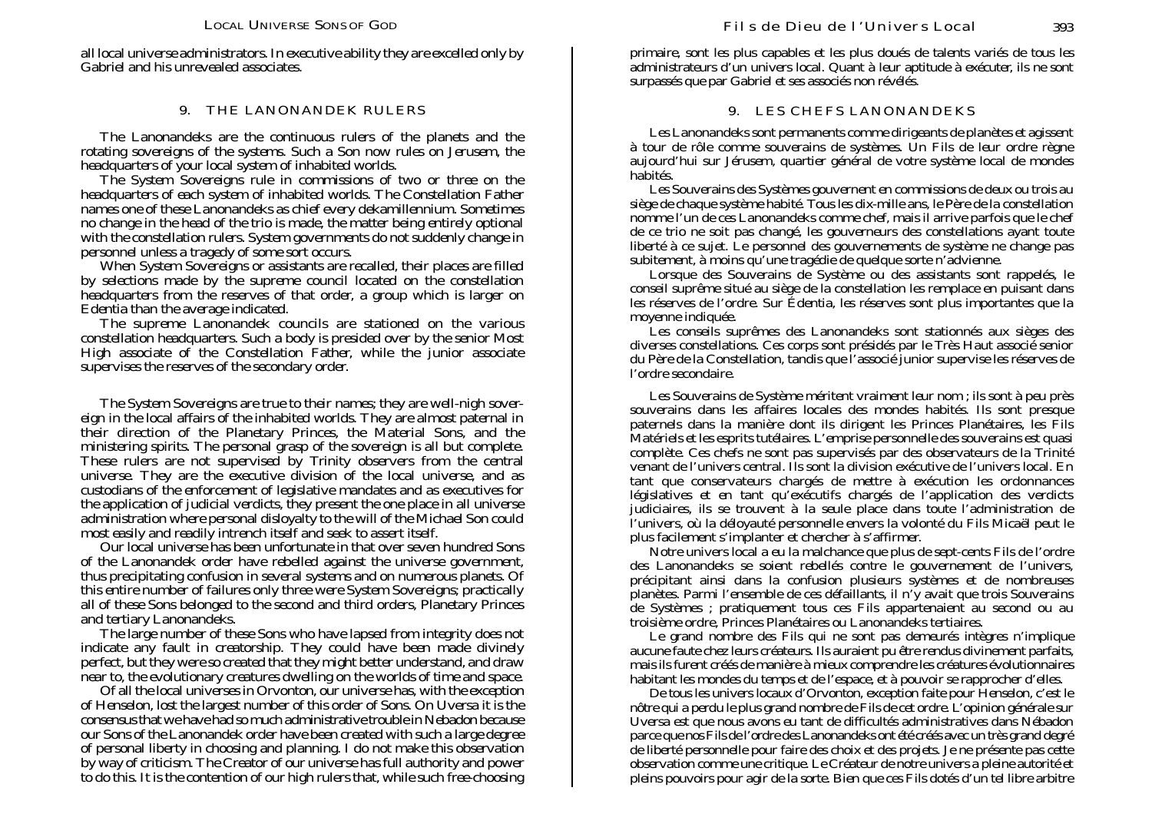all local universe administrators. In executive ability they are excelled only by Gabriel and his unrevealed associates.

#### 9. THE LANONANDEK RULERS

The Lanonandeks are the continuous rulers of the planets and the rotating sovereigns of the systems. Such a Son now rules on Jerusem, the headquarters of your local system of inhabited worlds.

The System Sovereigns rule in commissions of two or three on the headquarters of each system of inhabited worlds. The Constellation Father names one of these Lanonandeks as chief every dekamillennium. Sometimes no change in the head of the trio is made, the matter being entirely optional with the constellation rulers. System governments do not suddenly change in personnel unless a tragedy of some sort occurs.

When System Sovereigns or assistants are recalled, their places are filled by selections made by the supreme council located on the constellation headquarters from the reserves of that order, a group which is larger on Edentia than the average indicated.

The supreme Lanonandek councils are stationed on the various constellation headquarters. Such a body is presided over by the senior Most High associate of the Constellation Father, while the junior associate supervises the reserves of the secondary order.

The System Sovereigns are true to their names; they are well-nigh sovereign in the local affairs of the inhabited worlds. They are almost paternal in their direction of the Planetary Princes, the Material Sons, and the ministering spirits. The personal grasp of the sovereign is all but complete. These rulers are not supervised by Trinity observers from the central universe. They are the executive division of the local universe, and as custodians of the enforcement of legislative mandates and as executives for the application of judicial verdicts, they present the one place in all universe administration where personal disloyalty to the will of the Michael Son could most easily and readily intrench itself and seek to assert itself.

Our local universe has been unfortunate in that over seven hundred Sons of the Lanonandek order have rebelled against the universe government, thus precipitating confusion in several systems and on numerous planets. Of this entire number of failures only three were System Sovereigns; practically all of these Sons belonged to the second and third orders, Planetary Princes and tertiary Lanonandeks.

The large number of these Sons who have lapsed from integrity does not indicate any fault in creatorship. They could have been made divinely perfect, but they were so created that they might better understand, and draw near to, the evolutionary creatures dwelling on the worlds of time and space.

Of all the local universes in Orvonton, our universe has, with the exception of Henselon, lost the largest number of this order of Sons. On Uversa it is the consensus that we have had so much administrative trouble in Nebadon because our Sons of the Lanonandek order have been created with such a large degree of personal liberty in choosing and planning. I do not make this observation by way of criticism. The Creator of our universe has full authority and power to do this. It is the contention of our high rulers that, while such free-choosing

primaire, sont les plus capables et les plus doués de talents variés de tous les administrateurs d'un univers local. Quant à leur aptitude à exécuter, ils ne sont surpassés que par Gabriel et ses associés non révélés.

#### 9. LES CHEFS LANONANDEKS

Les Lanonandeks sont permanents comme dirigeants de planètes et agissent à tour de rôle comme souverains de systèmes. Un Fils de leur ordre règne aujourd'hui sur Jérusem, quartier général de votre système local de mondes habités.

Les Souverains des Systèmes gouvernent en commissions de deux ou trois au siège de chaque système habité. Tous les dix-mille ans, le Père de la constellation nomme l'un de ces Lanonandeks comme chef, mais il arrive parfois que le chef de ce trio ne soit pas changé, les gouverneurs des constellations ayant toute liberté à ce sujet. Le personnel des gouvernements de système ne change pas subitement, à moins qu'une tragédie de quelque sorte n'advienne.

Lorsque des Souverains de Système ou des assistants sont rappelés, le conseil suprême situé au siège de la constellation les remplace en puisant dans les réserves de l'ordre. Sur Édentia, les réserves sont plus importantes que la moyenne indiquée.

Les conseils suprêmes des Lanonandeks sont stationnés aux sièges des diverses constellations. Ces corps sont présidés par le Très Haut associé senior du Père de la Constellation, tandis que l'associé junior supervise les réserves de l'ordre secondaire.

Les Souverains de Système méritent vraiment leur nom ; ils sont à peu près souverains dans les affaires locales des mondes habités. Ils sont presque paternels dans la manière dont ils dirigent les Princes Planétaires, les Fils Matériels et les esprits tutélaires. L'emprise personnelle des souverains est quasi complète. Ces chefs ne sont pas supervisés par des observateurs de la Trinité venant de l'univers central. Ils sont la division exécutive de l'univers local. En tant que conservateurs chargés de mettre à exécution les ordonnances législatives et en tant qu'exécutifs chargés de l'application des verdicts judiciaires, ils se trouvent à la seule place dans toute l'administration de l'univers, où la déloyauté personnelle envers la volonté du Fils Micaël peut le plus facilement s'implanter et chercher à s'affirmer.

Notre univers local a eu la malchance que plus de sept-cents Fils de l'ordre des Lanonandeks se soient rebellés contre le gouvernement de l'univers, précipitant ainsi dans la confusion plusieurs systèmes et de nombreuses planètes. Parmi l'ensemble de ces défaillants, il n'y avait que trois Souverains de Systèmes ; pratiquement tous ces Fils appartenaient au second ou au troisième ordre, Princes Planétaires ou Lanonandeks tertiaires.

Le grand nombre des Fils qui ne sont pas demeurés intègres n'implique aucune faute chez leurs créateurs. Ils auraient pu être rendus divinement parfaits, mais ils furent créés de manière à mieux comprendre les créatures évolutionnaires habitant les mondes du temps et de l'espace, et à pouvoir se rapprocher d'elles.

De tous les univers locaux d'Orvonton, exception faite pour Henselon, c'est le nôtre qui a perdu le plus grand nombre de Fils de cet ordre. L'opinion générale sur Uversa est que nous avons eu tant de difficultés administratives dans Nébadon parce que nos Fils de l'ordre des Lanonandeks ont été créés avec un très grand degré de liberté personnelle pour faire des choix et des projets. Je ne présente pas cette observation comme une critique. Le Créateur de notre univers a pleine autorité et pleins pouvoirs pour agir de la sorte. Bien que ces Fils dotés d'un tel libre arbitre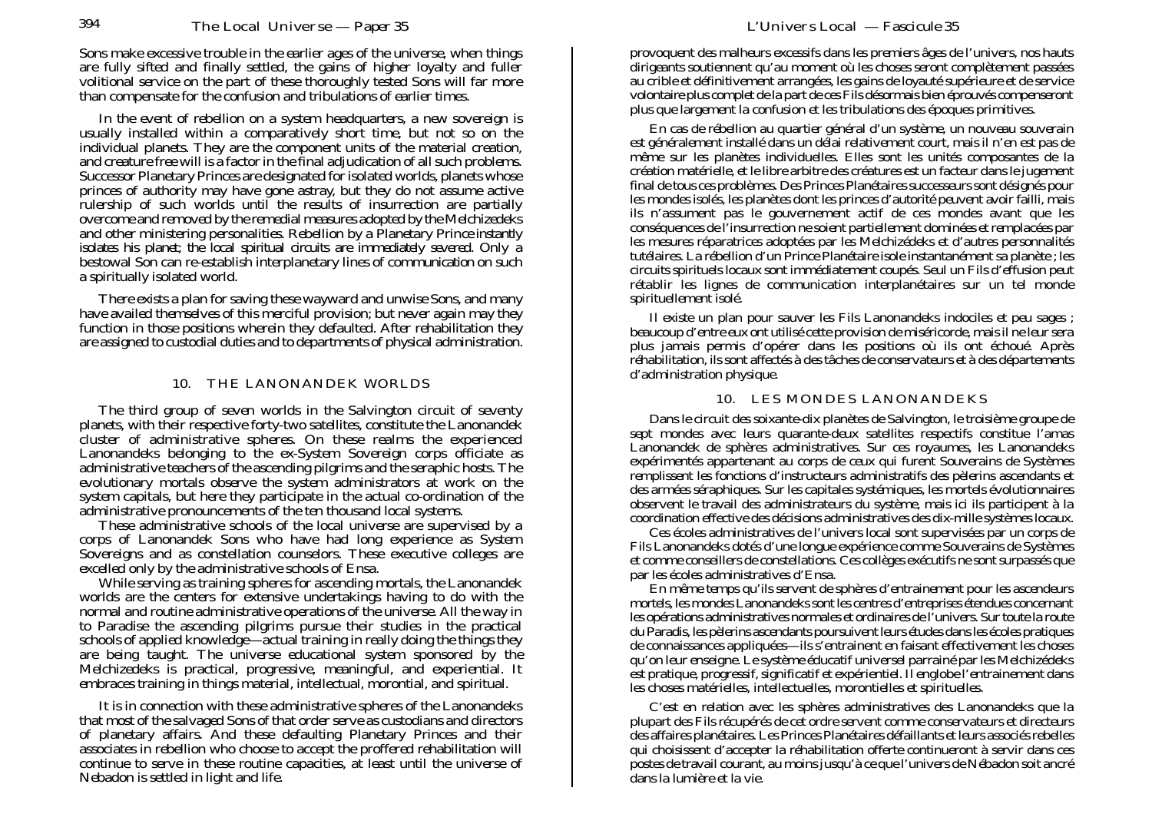Sons make excessive trouble in the earlier ages of the universe, when things are fully sifted and finally settled, the gains of higher loyalty and fuller volitional service on the part of these thoroughly tested Sons will far more than compensate for the confusion and tribulations of earlier times.

In the event of rebellion on a system headquarters, a new sovereign is usually installed within a comparatively short time, but not so on the individual planets. They are the component units of the material creation, and creature free will is a factor in the final adjudication of all such problems. Successor Planetary Princes are designated for isolated worlds, planets whose princes of authority may have gone astray, but they do not assume active rulership of such worlds until the results of insurrection are partially overcome and removed by the remedial measures adopted by the Melchizedeks and other ministering personalities. Rebellion by a Planetary Prince instantly isolates his planet; the local spiritual circuits are immediately severed. Only a bestowal Son can re-establish interplanetary lines of communication on such a spiritually isolated world.

There exists a plan for saving these wayward and unwise Sons, and many have availed themselves of this merciful provision; but never again may they function in those positions wherein they defaulted. After rehabilitation they are assigned to custodial duties and to departments of physical administration.

### 10. THE LANONANDEK WORLDS

The third group of seven worlds in the Salvington circuit of seventy planets, with their respective forty-two satellites, constitute the Lanonandek cluster of administrative spheres. On these realms the experienced Lanonandeks belonging to the ex-System Sovereign corps officiate as administrative teachers of the ascending pilgrims and the seraphic hosts. The evolutionary mortals observe the system administrators at work on the system capitals, but here they participate in the actual co-ordination of the administrative pronouncements of the ten thousand local systems.

These administrative schools of the local universe are supervised by a corps of Lanonandek Sons who have had long experience as System Sovereigns and as constellation counselors. These executive colleges are excelled only by the administrative schools of Ensa.

While serving as training spheres for ascending mortals, the Lanonandek worlds are the centers for extensive undertakings having to do with the normal and routine administrative operations of the universe. All the way in to Paradise the ascending pilgrims pursue their studies in the practical schools of applied knowledge—actual training in really doing the things they are being taught. The universe educational system sponsored by the Melchizedeks is practical, progressive, meaningful, and experiential. It embraces training in things material, intellectual, morontial, and spiritual.

It is in connection with these administrative spheres of the Lanonandeks that most of the salvaged Sons of that order serve as custodians and directors of planetary affairs. And these defaulting Planetary Princes and their associates in rebellion who choose to accept the proffered rehabilitation will continue to serve in these routine capacities, at least until the universe of Nebadon is settled in light and life.

provoquent des malheurs excessifs dans les premiers âges de l'univers, nos hauts dirigeants soutiennent qu'au moment où les choses seront complètement passées au crible et définitivement arrangées, les gains de loyauté supérieure et de service volontaire plus complet de la part de ces Fils désormais bien éprouvés compenseront plus que largement la confusion et les tribulations des époques primitives.

En cas de rébellion au quartier général d'un système, un nouveau souverain est généralement installé dans un délai relativement court, mais il n'en est pas de même sur les planètes individuelles. Elles sont les unités composantes de la création matérielle, et le libre arbitre des créatures est un facteur dans le jugement final de tous ces problèmes. Des Princes Planétaires successeurs sont désignés pour les mondes isolés, les planètes dont les princes d'autorité peuvent avoir failli, mais ils n'assument pas le gouvernement actif de ces mondes avant que les conséquences de l'insurrection ne soient partiellement dominées et remplacées par les mesures réparatrices adoptées par les Melchizédeks et d'autres personnalités tutélaires. La rébellion d'un Prince Planétaire isole instantanément sa planète ; les circuits spirituels locaux sont immédiatement coupés. Seul un Fils d'effusion peut rétablir les lignes de communication interplanétaires sur un tel monde spirituellement isolé.

Il existe un plan pour sauver les Fils Lanonandeks indociles et peu sages ; beaucoup d'entre eux ont utilisé cette provision de miséricorde, mais il ne leur sera plus jamais permis d'opérer dans les positions où ils ont échoué. Après réhabilitation, ils sont affectés à des tâches de conservateurs et à des départements d'administration physique.

### 10. LES MONDES LANONANDEKS

Dans le circuit des soixante-dix planètes de Salvington, le troisième groupe de sept mondes avec leurs quarante-deux satellites respectifs constitue l'amas Lanonandek de sphères administratives. Sur ces royaumes, les Lanonandeks expérimentés appartenant au corps de ceux qui furent Souverains de Systèmes remplissent les fonctions d'instructeurs administratifs des pèlerins ascendants et des armées séraphiques. Sur les capitales systémiques, les mortels évolutionnaires observent le travail des administrateurs du système, mais ici ils participent à la coordination effective des décisions administratives des dix-mille systèmes locaux.

Ces écoles administratives de l'univers local sont supervisées par un corps de Fils Lanonandeks dotés d'une longue expérience comme Souverains de Systèmes et comme conseillers de constellations. Ces collèges exécutifs ne sont surpassés que par les écoles administratives d'Ensa.

En même temps qu'ils servent de sphères d'entrainement pour les ascendeurs mortels, les mondes Lanonandeks sont les centres d'entreprises étendues concernant les opérations administratives normales et ordinaires de l'univers. Sur toute la route du Paradis, les pèlerins ascendants poursuivent leurs études dans les écoles pratiques de connaissances appliquées—ils s'entrainent en faisant effectivement les choses qu'on leur enseigne. Le système éducatif universel parrainé par les Melchizédeks est pratique, progressif, significatif et expérientiel. Il englobe l'entrainement dans les choses matérielles, intellectuelles, morontielles et spirituelles.

C'est en relation avec les sphères administratives des Lanonandeks que la plupart des Fils récupérés de cet ordre servent comme conservateurs et directeurs des affaires planétaires. Les Princes Planétaires défaillants et leurs associés rebelles qui choisissent d'accepter la réhabilitation offerte continueront à servir dans ces postes de travail courant, au moins jusqu'à ce que l'univers de Nébadon soit ancré dans la lumière et la vie.